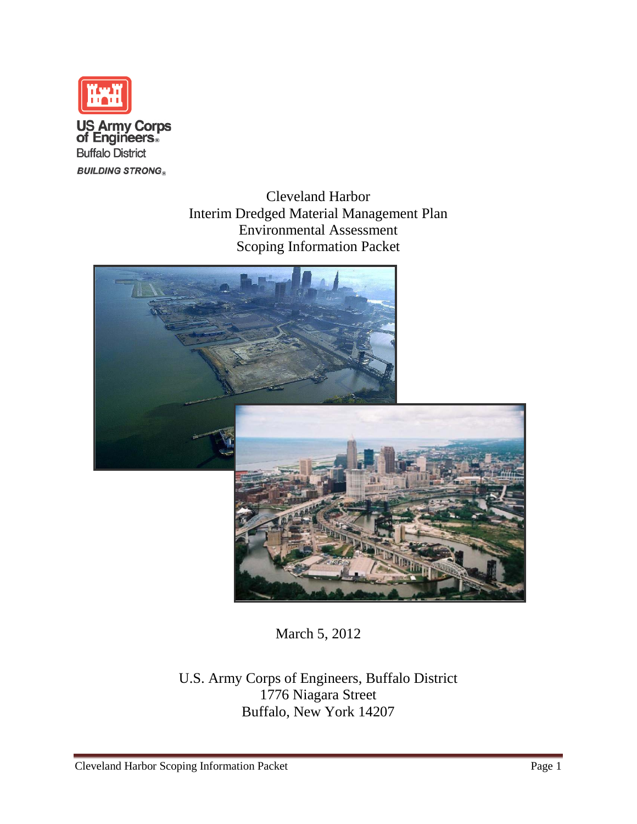

Cleveland Harbor Interim Dredged Material Management Plan Environmental Assessment Scoping Information Packet



March 5, 2012

U.S. Army Corps of Engineers, Buffalo District 1776 Niagara Street Buffalo, New York 14207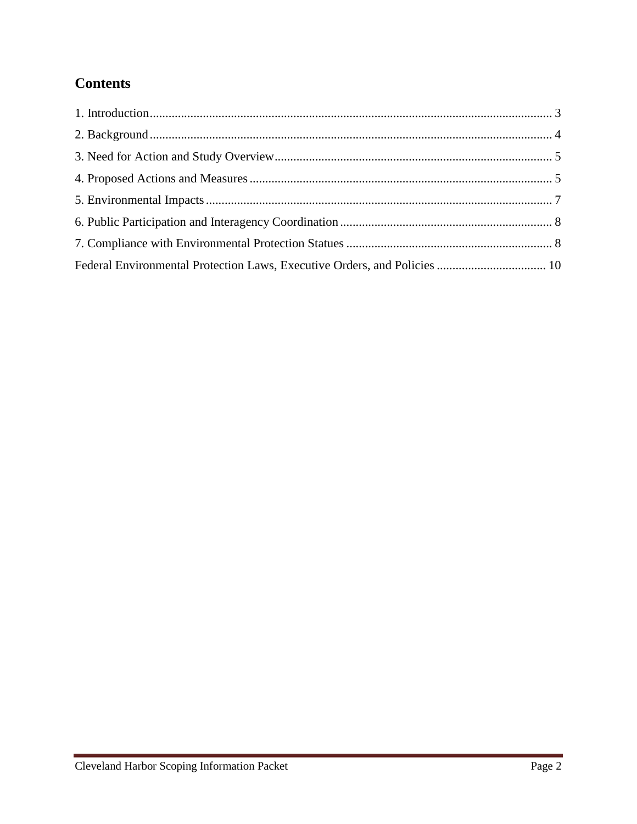# **Contents**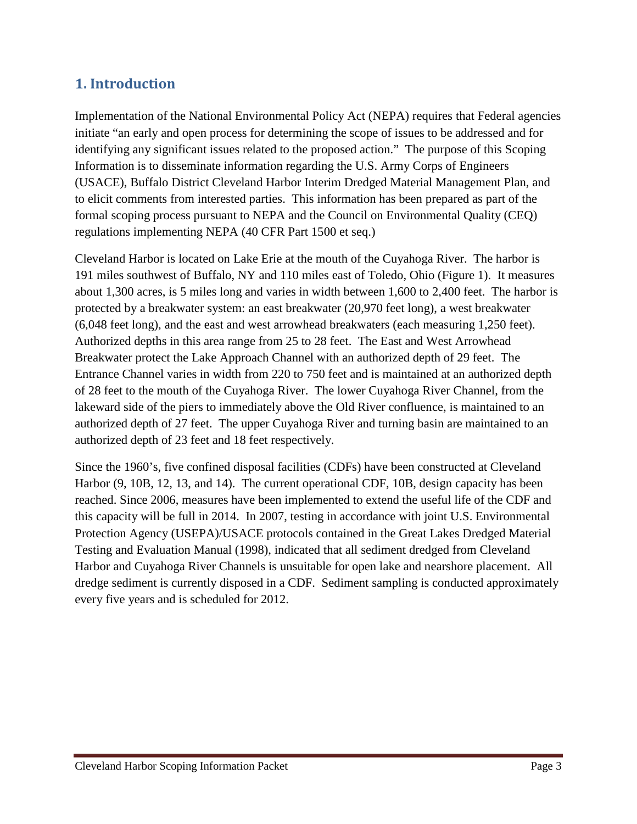#### <span id="page-2-0"></span>**1. Introduction**

Implementation of the National Environmental Policy Act (NEPA) requires that Federal agencies initiate "an early and open process for determining the scope of issues to be addressed and for identifying any significant issues related to the proposed action." The purpose of this Scoping Information is to disseminate information regarding the U.S. Army Corps of Engineers (USACE), Buffalo District Cleveland Harbor Interim Dredged Material Management Plan, and to elicit comments from interested parties. This information has been prepared as part of the formal scoping process pursuant to NEPA and the Council on Environmental Quality (CEQ) regulations implementing NEPA (40 CFR Part 1500 et seq.)

Cleveland Harbor is located on Lake Erie at the mouth of the Cuyahoga River. The harbor is 191 miles southwest of Buffalo, NY and 110 miles east of Toledo, Ohio (Figure 1). It measures about 1,300 acres, is 5 miles long and varies in width between 1,600 to 2,400 feet. The harbor is protected by a breakwater system: an east breakwater (20,970 feet long), a west breakwater (6,048 feet long), and the east and west arrowhead breakwaters (each measuring 1,250 feet). Authorized depths in this area range from 25 to 28 feet. The East and West Arrowhead Breakwater protect the Lake Approach Channel with an authorized depth of 29 feet. The Entrance Channel varies in width from 220 to 750 feet and is maintained at an authorized depth of 28 feet to the mouth of the Cuyahoga River. The lower Cuyahoga River Channel, from the lakeward side of the piers to immediately above the Old River confluence, is maintained to an authorized depth of 27 feet. The upper Cuyahoga River and turning basin are maintained to an authorized depth of 23 feet and 18 feet respectively.

Since the 1960's, five confined disposal facilities (CDFs) have been constructed at Cleveland Harbor (9, 10B, 12, 13, and 14). The current operational CDF, 10B, design capacity has been reached. Since 2006, measures have been implemented to extend the useful life of the CDF and this capacity will be full in 2014. In 2007, testing in accordance with joint U.S. Environmental Protection Agency (USEPA)/USACE protocols contained in the Great Lakes Dredged Material Testing and Evaluation Manual (1998), indicated that all sediment dredged from Cleveland Harbor and Cuyahoga River Channels is unsuitable for open lake and nearshore placement. All dredge sediment is currently disposed in a CDF. Sediment sampling is conducted approximately every five years and is scheduled for 2012.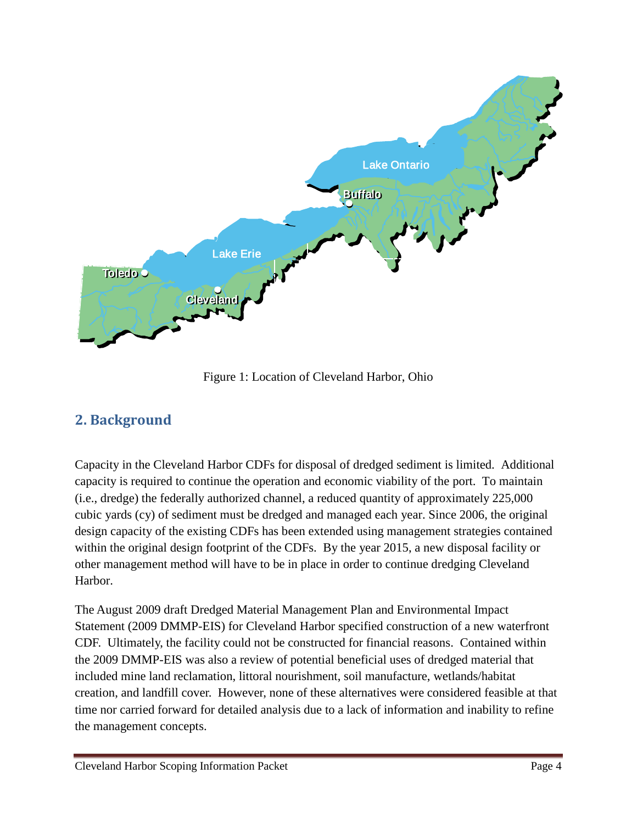

Figure 1: Location of Cleveland Harbor, Ohio

# <span id="page-3-0"></span>**2. Background**

Capacity in the Cleveland Harbor CDFs for disposal of dredged sediment is limited. Additional capacity is required to continue the operation and economic viability of the port. To maintain (i.e., dredge) the federally authorized channel, a reduced quantity of approximately 225,000 cubic yards (cy) of sediment must be dredged and managed each year. Since 2006, the original design capacity of the existing CDFs has been extended using management strategies contained within the original design footprint of the CDFs. By the year 2015, a new disposal facility or other management method will have to be in place in order to continue dredging Cleveland Harbor.

The August 2009 draft Dredged Material Management Plan and Environmental Impact Statement (2009 DMMP-EIS) for Cleveland Harbor specified construction of a new waterfront CDF. Ultimately, the facility could not be constructed for financial reasons. Contained within the 2009 DMMP-EIS was also a review of potential beneficial uses of dredged material that included mine land reclamation, littoral nourishment, soil manufacture, wetlands/habitat creation, and landfill cover. However, none of these alternatives were considered feasible at that time nor carried forward for detailed analysis due to a lack of information and inability to refine the management concepts.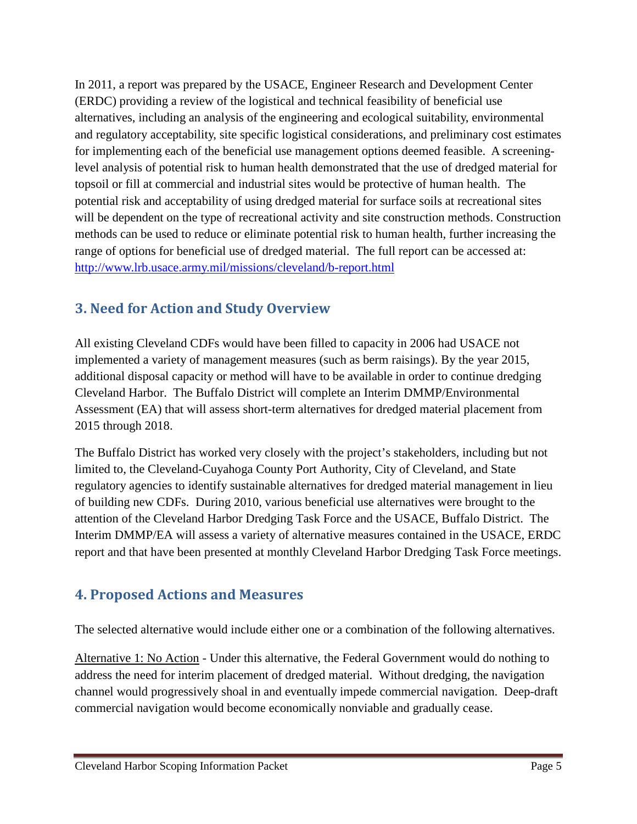In 2011, a report was prepared by the USACE, Engineer Research and Development Center (ERDC) providing a review of the logistical and technical feasibility of beneficial use alternatives, including an analysis of the engineering and ecological suitability, environmental and regulatory acceptability, site specific logistical considerations, and preliminary cost estimates for implementing each of the beneficial use management options deemed feasible. A screeninglevel analysis of potential risk to human health demonstrated that the use of dredged material for topsoil or fill at commercial and industrial sites would be protective of human health. The potential risk and acceptability of using dredged material for surface soils at recreational sites will be dependent on the type of recreational activity and site construction methods. Construction methods can be used to reduce or eliminate potential risk to human health, further increasing the range of options for beneficial use of dredged material. The full report can be accessed at: <http://www.lrb.usace.army.mil/missions/cleveland/b-report.html>

# <span id="page-4-0"></span>**3. Need for Action and Study Overview**

All existing Cleveland CDFs would have been filled to capacity in 2006 had USACE not implemented a variety of management measures (such as berm raisings). By the year 2015, additional disposal capacity or method will have to be available in order to continue dredging Cleveland Harbor. The Buffalo District will complete an Interim DMMP/Environmental Assessment (EA) that will assess short-term alternatives for dredged material placement from 2015 through 2018.

The Buffalo District has worked very closely with the project's stakeholders, including but not limited to, the Cleveland-Cuyahoga County Port Authority, City of Cleveland, and State regulatory agencies to identify sustainable alternatives for dredged material management in lieu of building new CDFs. During 2010, various beneficial use alternatives were brought to the attention of the Cleveland Harbor Dredging Task Force and the USACE, Buffalo District. The Interim DMMP/EA will assess a variety of alternative measures contained in the USACE, ERDC report and that have been presented at monthly Cleveland Harbor Dredging Task Force meetings.

# <span id="page-4-1"></span>**4. Proposed Actions and Measures**

The selected alternative would include either one or a combination of the following alternatives.

Alternative 1: No Action - Under this alternative, the Federal Government would do nothing to address the need for interim placement of dredged material. Without dredging, the navigation channel would progressively shoal in and eventually impede commercial navigation. Deep-draft commercial navigation would become economically nonviable and gradually cease.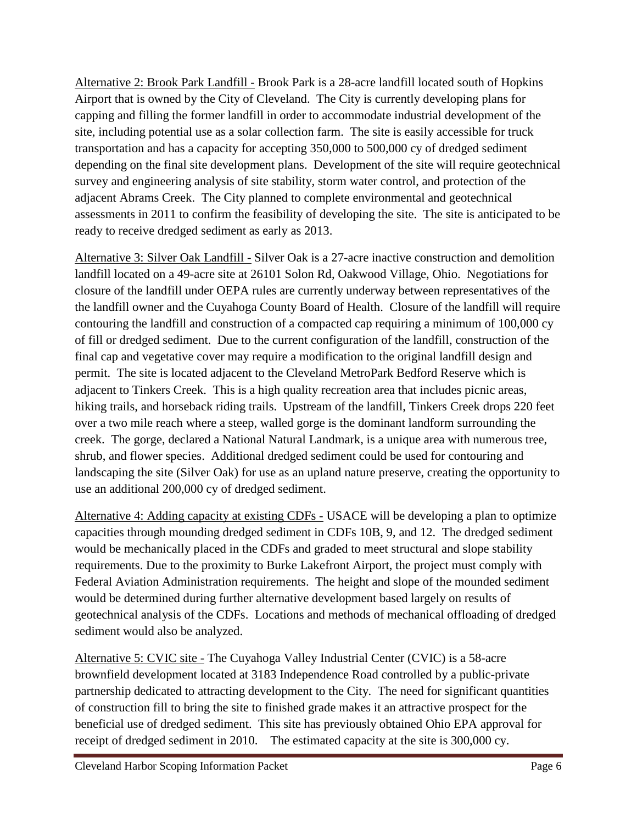Alternative 2: Brook Park Landfill - Brook Park is a 28-acre landfill located south of Hopkins Airport that is owned by the City of Cleveland. The City is currently developing plans for capping and filling the former landfill in order to accommodate industrial development of the site, including potential use as a solar collection farm. The site is easily accessible for truck transportation and has a capacity for accepting 350,000 to 500,000 cy of dredged sediment depending on the final site development plans. Development of the site will require geotechnical survey and engineering analysis of site stability, storm water control, and protection of the adjacent Abrams Creek. The City planned to complete environmental and geotechnical assessments in 2011 to confirm the feasibility of developing the site. The site is anticipated to be ready to receive dredged sediment as early as 2013.

Alternative 3: Silver Oak Landfill - Silver Oak is a 27-acre inactive construction and demolition landfill located on a 49-acre site at 26101 Solon Rd, Oakwood Village, Ohio. Negotiations for closure of the landfill under OEPA rules are currently underway between representatives of the the landfill owner and the Cuyahoga County Board of Health. Closure of the landfill will require contouring the landfill and construction of a compacted cap requiring a minimum of 100,000 cy of fill or dredged sediment. Due to the current configuration of the landfill, construction of the final cap and vegetative cover may require a modification to the original landfill design and permit. The site is located adjacent to the Cleveland MetroPark Bedford Reserve which is adjacent to Tinkers Creek. This is a high quality recreation area that includes picnic areas, hiking trails, and horseback riding trails. Upstream of the landfill, Tinkers Creek drops 220 feet over a two mile reach where a steep, walled gorge is the dominant landform surrounding the creek. The gorge, declared a National Natural Landmark, is a unique area with numerous tree, shrub, and flower species. Additional dredged sediment could be used for contouring and landscaping the site (Silver Oak) for use as an upland nature preserve, creating the opportunity to use an additional 200,000 cy of dredged sediment.

Alternative 4: Adding capacity at existing CDFs - USACE will be developing a plan to optimize capacities through mounding dredged sediment in CDFs 10B, 9, and 12. The dredged sediment would be mechanically placed in the CDFs and graded to meet structural and slope stability requirements. Due to the proximity to Burke Lakefront Airport, the project must comply with Federal Aviation Administration requirements. The height and slope of the mounded sediment would be determined during further alternative development based largely on results of geotechnical analysis of the CDFs. Locations and methods of mechanical offloading of dredged sediment would also be analyzed.

Alternative 5: CVIC site - The Cuyahoga Valley Industrial Center (CVIC) is a 58-acre brownfield development located at 3183 Independence Road controlled by a public-private partnership dedicated to attracting development to the City. The need for significant quantities of construction fill to bring the site to finished grade makes it an attractive prospect for the beneficial use of dredged sediment. This site has previously obtained Ohio EPA approval for receipt of dredged sediment in 2010. The estimated capacity at the site is 300,000 cy.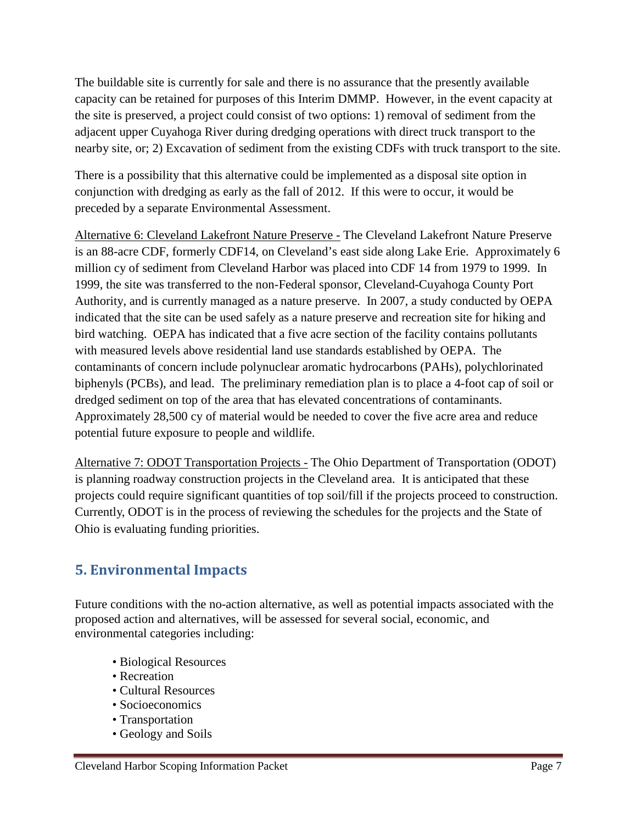The buildable site is currently for sale and there is no assurance that the presently available capacity can be retained for purposes of this Interim DMMP. However, in the event capacity at the site is preserved, a project could consist of two options: 1) removal of sediment from the adjacent upper Cuyahoga River during dredging operations with direct truck transport to the nearby site, or; 2) Excavation of sediment from the existing CDFs with truck transport to the site.

There is a possibility that this alternative could be implemented as a disposal site option in conjunction with dredging as early as the fall of 2012. If this were to occur, it would be preceded by a separate Environmental Assessment.

Alternative 6: Cleveland Lakefront Nature Preserve - The Cleveland Lakefront Nature Preserve is an 88-acre CDF, formerly CDF14, on Cleveland's east side along Lake Erie. Approximately 6 million cy of sediment from Cleveland Harbor was placed into CDF 14 from 1979 to 1999. In 1999, the site was transferred to the non-Federal sponsor, Cleveland-Cuyahoga County Port Authority, and is currently managed as a nature preserve. In 2007, a study conducted by OEPA indicated that the site can be used safely as a nature preserve and recreation site for hiking and bird watching. OEPA has indicated that a five acre section of the facility contains pollutants with measured levels above residential land use standards established by OEPA. The contaminants of concern include polynuclear aromatic hydrocarbons (PAHs), polychlorinated biphenyls (PCBs), and lead. The preliminary remediation plan is to place a 4-foot cap of soil or dredged sediment on top of the area that has elevated concentrations of contaminants. Approximately 28,500 cy of material would be needed to cover the five acre area and reduce potential future exposure to people and wildlife.

Alternative 7: ODOT Transportation Projects - The Ohio Department of Transportation (ODOT) is planning roadway construction projects in the Cleveland area. It is anticipated that these projects could require significant quantities of top soil/fill if the projects proceed to construction. Currently, ODOT is in the process of reviewing the schedules for the projects and the State of Ohio is evaluating funding priorities.

# <span id="page-6-0"></span>**5. Environmental Impacts**

Future conditions with the no-action alternative, as well as potential impacts associated with the proposed action and alternatives, will be assessed for several social, economic, and environmental categories including:

- Biological Resources
- Recreation
- Cultural Resources
- Socioeconomics
- Transportation
- Geology and Soils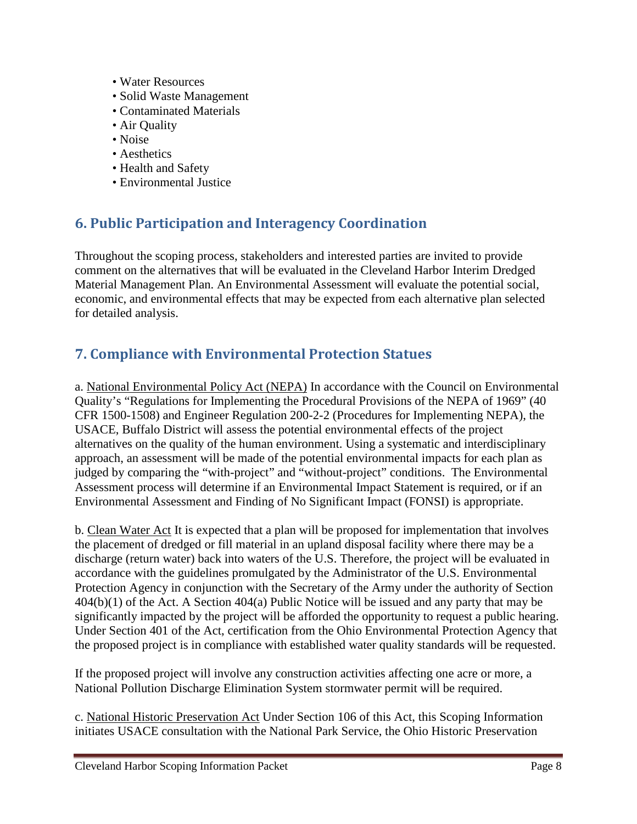- Water Resources
- Solid Waste Management
- Contaminated Materials
- Air Quality
- Noise
- Aesthetics
- Health and Safety
- Environmental Justice

### <span id="page-7-0"></span>**6. Public Participation and Interagency Coordination**

Throughout the scoping process, stakeholders and interested parties are invited to provide comment on the alternatives that will be evaluated in the Cleveland Harbor Interim Dredged Material Management Plan. An Environmental Assessment will evaluate the potential social, economic, and environmental effects that may be expected from each alternative plan selected for detailed analysis.

### <span id="page-7-1"></span>**7. Compliance with Environmental Protection Statues**

a. National Environmental Policy Act (NEPA) In accordance with the Council on Environmental Quality's "Regulations for Implementing the Procedural Provisions of the NEPA of 1969" (40 CFR 1500-1508) and Engineer Regulation 200-2-2 (Procedures for Implementing NEPA), the USACE, Buffalo District will assess the potential environmental effects of the project alternatives on the quality of the human environment. Using a systematic and interdisciplinary approach, an assessment will be made of the potential environmental impacts for each plan as judged by comparing the "with-project" and "without-project" conditions. The Environmental Assessment process will determine if an Environmental Impact Statement is required, or if an Environmental Assessment and Finding of No Significant Impact (FONSI) is appropriate.

b. Clean Water Act It is expected that a plan will be proposed for implementation that involves the placement of dredged or fill material in an upland disposal facility where there may be a discharge (return water) back into waters of the U.S. Therefore, the project will be evaluated in accordance with the guidelines promulgated by the Administrator of the U.S. Environmental Protection Agency in conjunction with the Secretary of the Army under the authority of Section 404(b)(1) of the Act. A Section 404(a) Public Notice will be issued and any party that may be significantly impacted by the project will be afforded the opportunity to request a public hearing. Under Section 401 of the Act, certification from the Ohio Environmental Protection Agency that the proposed project is in compliance with established water quality standards will be requested.

If the proposed project will involve any construction activities affecting one acre or more, a National Pollution Discharge Elimination System stormwater permit will be required.

c. National Historic Preservation Act Under Section 106 of this Act, this Scoping Information initiates USACE consultation with the National Park Service, the Ohio Historic Preservation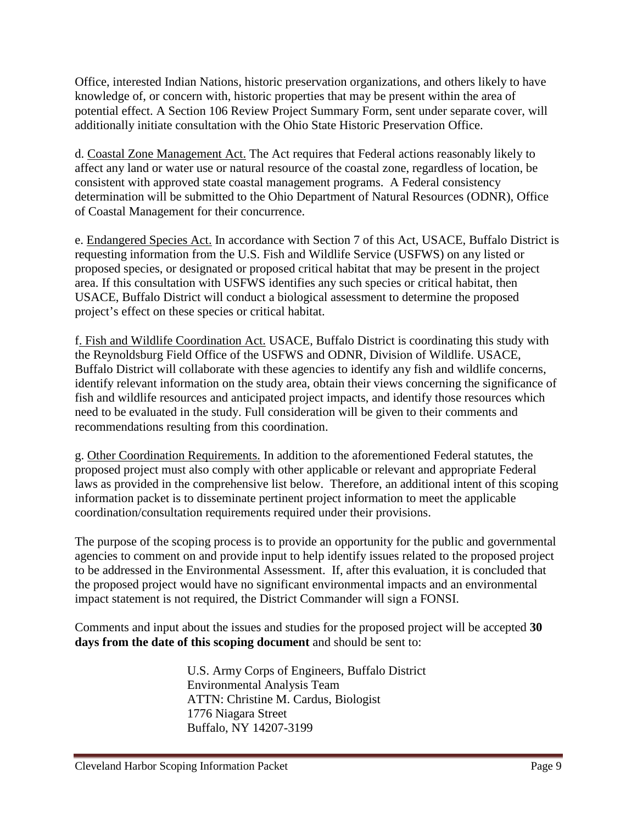Office, interested Indian Nations, historic preservation organizations, and others likely to have knowledge of, or concern with, historic properties that may be present within the area of potential effect. A Section 106 Review Project Summary Form, sent under separate cover, will additionally initiate consultation with the Ohio State Historic Preservation Office.

d. Coastal Zone Management Act. The Act requires that Federal actions reasonably likely to affect any land or water use or natural resource of the coastal zone, regardless of location, be consistent with approved state coastal management programs. A Federal consistency determination will be submitted to the Ohio Department of Natural Resources (ODNR), Office of Coastal Management for their concurrence.

e. Endangered Species Act. In accordance with Section 7 of this Act, USACE, Buffalo District is requesting information from the U.S. Fish and Wildlife Service (USFWS) on any listed or proposed species, or designated or proposed critical habitat that may be present in the project area. If this consultation with USFWS identifies any such species or critical habitat, then USACE, Buffalo District will conduct a biological assessment to determine the proposed project's effect on these species or critical habitat.

f. Fish and Wildlife Coordination Act. USACE, Buffalo District is coordinating this study with the Reynoldsburg Field Office of the USFWS and ODNR, Division of Wildlife. USACE, Buffalo District will collaborate with these agencies to identify any fish and wildlife concerns, identify relevant information on the study area, obtain their views concerning the significance of fish and wildlife resources and anticipated project impacts, and identify those resources which need to be evaluated in the study. Full consideration will be given to their comments and recommendations resulting from this coordination.

g. Other Coordination Requirements. In addition to the aforementioned Federal statutes, the proposed project must also comply with other applicable or relevant and appropriate Federal laws as provided in the comprehensive list below. Therefore, an additional intent of this scoping information packet is to disseminate pertinent project information to meet the applicable coordination/consultation requirements required under their provisions.

The purpose of the scoping process is to provide an opportunity for the public and governmental agencies to comment on and provide input to help identify issues related to the proposed project to be addressed in the Environmental Assessment. If, after this evaluation, it is concluded that the proposed project would have no significant environmental impacts and an environmental impact statement is not required, the District Commander will sign a FONSI.

Comments and input about the issues and studies for the proposed project will be accepted **30 days from the date of this scoping document** and should be sent to:

> U.S. Army Corps of Engineers, Buffalo District Environmental Analysis Team ATTN: Christine M. Cardus, Biologist 1776 Niagara Street Buffalo, NY 14207-3199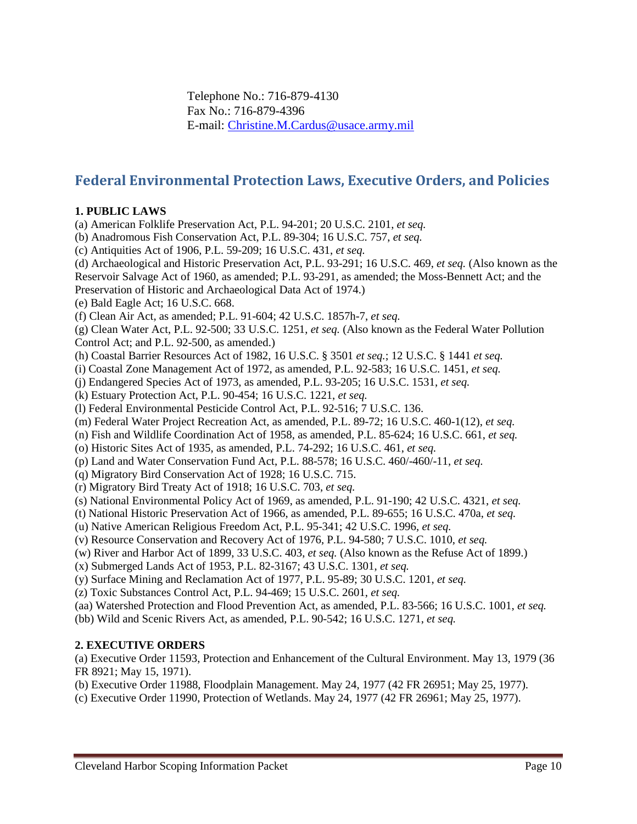Telephone No.: 716-879-4130 Fax No.: 716-879-4396 E-mail: [Christine.M.Cardus@usace.army.mil](mailto:christine.m.cardus@usace.army.mil)

#### <span id="page-9-0"></span>**Federal Environmental Protection Laws, Executive Orders, and Policies**

#### **1. PUBLIC LAWS**

(a) American Folklife Preservation Act, P.L. 94-201; 20 U.S.C. 2101, *et seq.*

(b) Anadromous Fish Conservation Act, P.L. 89-304; 16 U.S.C. 757, *et seq.* 

(c) Antiquities Act of 1906, P.L. 59-209; 16 U.S.C. 431, *et seq.* 

(d) Archaeological and Historic Preservation Act, P.L. 93-291; 16 U.S.C. 469, *et seq.* (Also known as the

Reservoir Salvage Act of 1960, as amended; P.L. 93-291, as amended; the Moss-Bennett Act; and the

Preservation of Historic and Archaeological Data Act of 1974.)

(e) Bald Eagle Act; 16 U.S.C. 668.

(f) Clean Air Act, as amended; P.L. 91-604; 42 U.S.C. 1857h-7, *et seq.* 

(g) Clean Water Act, P.L. 92-500; 33 U.S.C. 1251, *et seq.* (Also known as the Federal Water Pollution Control Act; and P.L. 92-500, as amended.)

(h) Coastal Barrier Resources Act of 1982, 16 U.S.C. § 3501 *et seq.*; 12 U.S.C. § 1441 *et seq.* 

(i) Coastal Zone Management Act of 1972, as amended, P.L. 92-583; 16 U.S.C. 1451, *et seq.* 

(j) Endangered Species Act of 1973, as amended, P.L. 93-205; 16 U.S.C. 1531, *et seq.* 

(k) Estuary Protection Act, P.L. 90-454; 16 U.S.C. 1221, *et seq.* 

(l) Federal Environmental Pesticide Control Act, P.L. 92-516; 7 U.S.C. 136.

(m) Federal Water Project Recreation Act, as amended, P.L. 89-72; 16 U.S.C. 460-1(12), *et seq.* 

(n) Fish and Wildlife Coordination Act of 1958, as amended, P.L. 85-624; 16 U.S.C. 661, *et seq.* 

(o) Historic Sites Act of 1935, as amended, P.L. 74-292; 16 U.S.C. 461, *et seq.* 

(p) Land and Water Conservation Fund Act, P.L. 88-578; 16 U.S.C. 460/-460/-11, *et seq.* 

(q) Migratory Bird Conservation Act of 1928; 16 U.S.C. 715.

(r) Migratory Bird Treaty Act of 1918; 16 U.S.C. 703, *et seq.* 

(s) National Environmental Policy Act of 1969, as amended, P.L. 91-190; 42 U.S.C. 4321, *et seq.* 

(t) National Historic Preservation Act of 1966, as amended, P.L. 89-655; 16 U.S.C. 470a, *et seq.* 

(u) Native American Religious Freedom Act, P.L. 95-341; 42 U.S.C. 1996, *et seq.* 

(v) Resource Conservation and Recovery Act of 1976, P.L. 94-580; 7 U.S.C. 1010, *et seq.* 

(w) River and Harbor Act of 1899, 33 U.S.C. 403, *et seq.* (Also known as the Refuse Act of 1899.)

(x) Submerged Lands Act of 1953, P.L. 82-3167; 43 U.S.C. 1301, *et seq.* 

(y) Surface Mining and Reclamation Act of 1977, P.L. 95-89; 30 U.S.C. 1201, *et seq.* 

(z) Toxic Substances Control Act, P.L. 94-469; 15 U.S.C. 2601, *et seq.* 

(aa) Watershed Protection and Flood Prevention Act, as amended, P.L. 83-566; 16 U.S.C. 1001, *et seq.* 

(bb) Wild and Scenic Rivers Act, as amended, P.L. 90-542; 16 U.S.C. 1271, *et seq.* 

#### **2. EXECUTIVE ORDERS**

(a) Executive Order 11593, Protection and Enhancement of the Cultural Environment. May 13, 1979 (36 FR 8921; May 15, 1971).

(b) Executive Order 11988, Floodplain Management. May 24, 1977 (42 FR 26951; May 25, 1977).

(c) Executive Order 11990, Protection of Wetlands. May 24, 1977 (42 FR 26961; May 25, 1977).